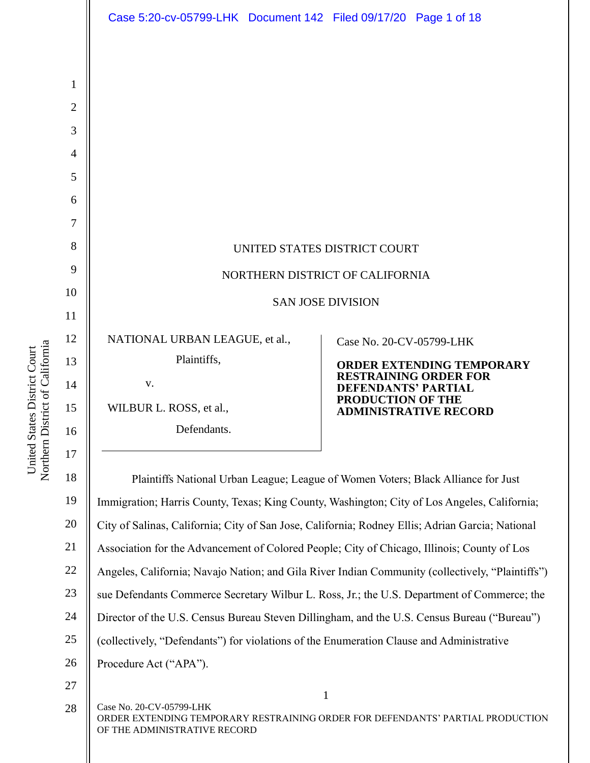|                | Case 5:20-cv-05799-LHK  Document 142  Filed 09/17/20  Page 1 of 18                               |                                                                  |
|----------------|--------------------------------------------------------------------------------------------------|------------------------------------------------------------------|
|                |                                                                                                  |                                                                  |
| $\mathbf{1}$   |                                                                                                  |                                                                  |
| $\overline{2}$ |                                                                                                  |                                                                  |
| 3              |                                                                                                  |                                                                  |
| $\overline{4}$ |                                                                                                  |                                                                  |
| 5              |                                                                                                  |                                                                  |
| 6              |                                                                                                  |                                                                  |
| 7              |                                                                                                  |                                                                  |
| 8              | UNITED STATES DISTRICT COURT                                                                     |                                                                  |
| 9              | NORTHERN DISTRICT OF CALIFORNIA                                                                  |                                                                  |
| 10             | <b>SAN JOSE DIVISION</b>                                                                         |                                                                  |
| 11             |                                                                                                  |                                                                  |
| 12             | NATIONAL URBAN LEAGUE, et al.,                                                                   | Case No. 20-CV-05799-LHK                                         |
| 13             | Plaintiffs,                                                                                      | <b>ORDER EXTENDING TEMPORARY</b><br><b>RESTRAINING ORDER FOR</b> |
| 14             | V.                                                                                               | <b>DEFENDANTS' PARTIAL</b><br>PRODUCTION OF THE                  |
| 15             | WILBUR L. ROSS, et al.,                                                                          | <b>ADMINISTRATIVE RECORD</b>                                     |
| 16             | Defendants.                                                                                      |                                                                  |
| 17             |                                                                                                  |                                                                  |
| 18             | Plaintiffs National Urban League; League of Women Voters; Black Alliance for Just                |                                                                  |
| 19             | Immigration; Harris County, Texas; King County, Washington; City of Los Angeles, California;     |                                                                  |
| 20             | City of Salinas, California; City of San Jose, California; Rodney Ellis; Adrian Garcia; National |                                                                  |
| 21             | Association for the Advancement of Colored People; City of Chicago, Illinois; County of Los      |                                                                  |

22 Angeles, California; Navajo Nation; and Gila River Indian Community (collectively, "Plaintiffs")

- 23 sue Defendants Commerce Secretary Wilbur L. Ross, Jr.; the U.S. Department of Commerce; the
- 24 Director of the U.S. Census Bureau Steven Dillingham, and the U.S. Census Bureau ("Bureau")
- 25 (collectively, "Defendants") for violations of the Enumeration Clause and Administrative
- 26 Procedure Act ("APA").
- 27

Case No. 20-CV-05799-LHK ORDER EXTENDING TEMPORARY RESTRAINING ORDER FOR DEFENDANTS' PARTIAL PRODUCTION OF THE ADMINISTRATIVE RECORD 28

1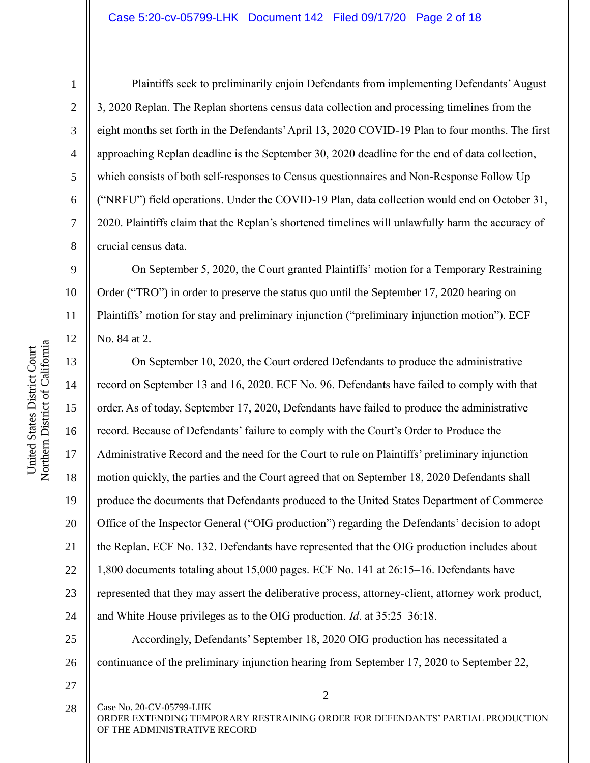1

Plaintiffs seek to preliminarily enjoin Defendants from implementing Defendants' August 3, 2020 Replan. The Replan shortens census data collection and processing timelines from the eight months set forth in the Defendants' April 13, 2020 COVID-19 Plan to four months. The first approaching Replan deadline is the September 30, 2020 deadline for the end of data collection, which consists of both self-responses to Census questionnaires and Non-Response Follow Up ("NRFU") field operations. Under the COVID-19 Plan, data collection would end on October 31, 2020. Plaintiffs claim that the Replan's shortened timelines will unlawfully harm the accuracy of crucial census data.

11 12 On September 5, 2020, the Court granted Plaintiffs' motion for a Temporary Restraining Order ("TRO") in order to preserve the status quo until the September 17, 2020 hearing on Plaintiffs' motion for stay and preliminary injunction ("preliminary injunction motion"). ECF No. 84 at 2.

13 14 15 16 17 18 19 20 21 22 23 24 25 26 27 On September 10, 2020, the Court ordered Defendants to produce the administrative record on September 13 and 16, 2020. ECF No. 96. Defendants have failed to comply with that order. As of today, September 17, 2020, Defendants have failed to produce the administrative record. Because of Defendants' failure to comply with the Court's Order to Produce the Administrative Record and the need for the Court to rule on Plaintiffs' preliminary injunction motion quickly, the parties and the Court agreed that on September 18, 2020 Defendants shall produce the documents that Defendants produced to the United States Department of Commerce Office of the Inspector General ("OIG production") regarding the Defendants' decision to adopt the Replan. ECF No. 132. Defendants have represented that the OIG production includes about 1,800 documents totaling about 15,000 pages. ECF No. 141 at 26:15–16. Defendants have represented that they may assert the deliberative process, attorney-client, attorney work product, and White House privileges as to the OIG production. *Id*. at 35:25–36:18. Accordingly, Defendants' September 18, 2020 OIG production has necessitated a continuance of the preliminary injunction hearing from September 17, 2020 to September 22,

Case No. 20-CV-05799-LHK ORDER EXTENDING TEMPORARY RESTRAINING ORDER FOR DEFENDANTS' PARTIAL PRODUCTION OF THE ADMINISTRATIVE RECORD 28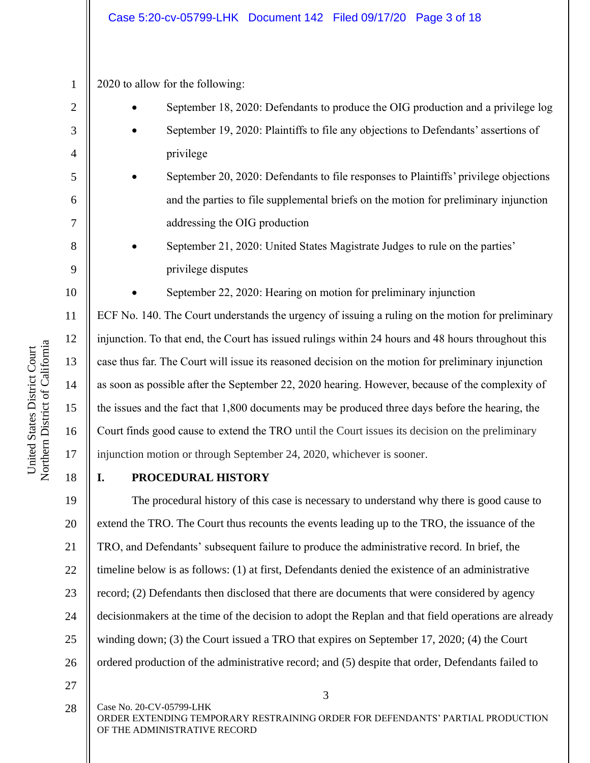### Case 5:20-cv-05799-LHK Document 142 Filed 09/17/20 Page 3 of 18

2020 to allow for the following:

- September 18, 2020: Defendants to produce the OIG production and a privilege log
- September 19, 2020: Plaintiffs to file any objections to Defendants' assertions of privilege
- September 20, 2020: Defendants to file responses to Plaintiffs' privilege objections and the parties to file supplemental briefs on the motion for preliminary injunction addressing the OIG production
- September 21, 2020: United States Magistrate Judges to rule on the parties' privilege disputes
	- September 22, 2020: Hearing on motion for preliminary injunction

ECF No. 140. The Court understands the urgency of issuing a ruling on the motion for preliminary injunction. To that end, the Court has issued rulings within 24 hours and 48 hours throughout this case thus far. The Court will issue its reasoned decision on the motion for preliminary injunction as soon as possible after the September 22, 2020 hearing. However, because of the complexity of the issues and the fact that 1,800 documents may be produced three days before the hearing, the Court finds good cause to extend the TRO until the Court issues its decision on the preliminary injunction motion or through September 24, 2020, whichever is sooner.

18

1

2

3

4

5

6

7

8

9

10

11

12

13

14

15

16

17

### **I. PROCEDURAL HISTORY**

19 20 21 22 23 24 25 26 The procedural history of this case is necessary to understand why there is good cause to extend the TRO. The Court thus recounts the events leading up to the TRO, the issuance of the TRO, and Defendants' subsequent failure to produce the administrative record. In brief, the timeline below is as follows: (1) at first, Defendants denied the existence of an administrative record; (2) Defendants then disclosed that there are documents that were considered by agency decisionmakers at the time of the decision to adopt the Replan and that field operations are already winding down; (3) the Court issued a TRO that expires on September 17, 2020; (4) the Court ordered production of the administrative record; and (5) despite that order, Defendants failed to

27

28

Case No. 20-CV-05799-LHK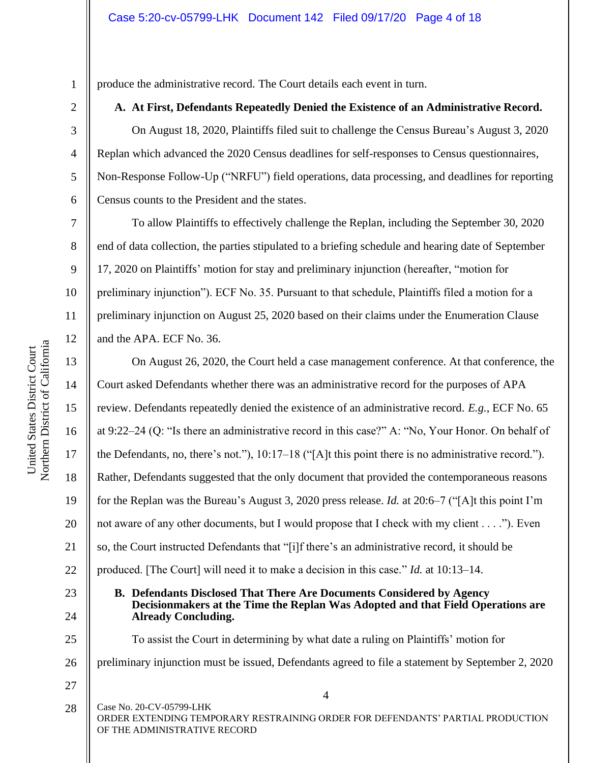produce the administrative record. The Court details each event in turn.

### **A. At First, Defendants Repeatedly Denied the Existence of an Administrative Record.**

On August 18, 2020, Plaintiffs filed suit to challenge the Census Bureau's August 3, 2020 Replan which advanced the 2020 Census deadlines for self-responses to Census questionnaires, Non-Response Follow-Up ("NRFU") field operations, data processing, and deadlines for reporting Census counts to the President and the states.

To allow Plaintiffs to effectively challenge the Replan, including the September 30, 2020 end of data collection, the parties stipulated to a briefing schedule and hearing date of September 17, 2020 on Plaintiffs' motion for stay and preliminary injunction (hereafter, "motion for preliminary injunction"). ECF No. 35. Pursuant to that schedule, Plaintiffs filed a motion for a preliminary injunction on August 25, 2020 based on their claims under the Enumeration Clause and the APA. ECF No. 36.

13 14 15 16 17 18 19 20 21 22 23 24 On August 26, 2020, the Court held a case management conference. At that conference, the Court asked Defendants whether there was an administrative record for the purposes of APA review. Defendants repeatedly denied the existence of an administrative record. *E.g.*, ECF No. 65 at 9:22–24 (Q: "Is there an administrative record in this case?" A: "No, Your Honor. On behalf of the Defendants, no, there's not."), 10:17–18 ("[A]t this point there is no administrative record."). Rather, Defendants suggested that the only document that provided the contemporaneous reasons for the Replan was the Bureau's August 3, 2020 press release. *Id.* at 20:6–7 ("[A]t this point I'm not aware of any other documents, but I would propose that I check with my client . . . ."). Even so, the Court instructed Defendants that "[i]f there's an administrative record, it should be produced. [The Court] will need it to make a decision in this case." *Id.* at 10:13–14. **B. Defendants Disclosed That There Are Documents Considered by Agency Decisionmakers at the Time the Replan Was Adopted and that Field Operations are Already Concluding.** 

To assist the Court in determining by what date a ruling on Plaintiffs' motion for

26 preliminary injunction must be issued, Defendants agreed to file a statement by September 2, 2020

27

25

Case No. 20-CV-05799-LHK ORDER EXTENDING TEMPORARY RESTRAINING ORDER FOR DEFENDANTS' PARTIAL PRODUCTION OF THE ADMINISTRATIVE RECORD 28

1

2

3

4

5

6

7

8

9

10

11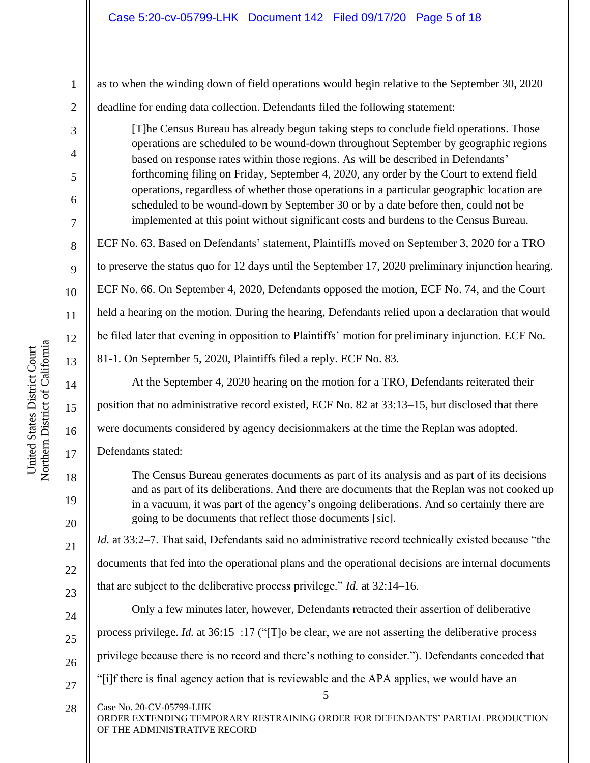| $\mathbf{1}$     | as to when the winding down of field operations would begin relative to the September 30, 2020                                                                                                                                                         |  |
|------------------|--------------------------------------------------------------------------------------------------------------------------------------------------------------------------------------------------------------------------------------------------------|--|
| $\sqrt{2}$       | deadline for ending data collection. Defendants filed the following statement:                                                                                                                                                                         |  |
| 3                | [T]he Census Bureau has already begun taking steps to conclude field operations. Those                                                                                                                                                                 |  |
| $\overline{4}$   | operations are scheduled to be wound-down throughout September by geographic regions<br>based on response rates within those regions. As will be described in Defendants'                                                                              |  |
| 5                | forthcoming filing on Friday, September 4, 2020, any order by the Court to extend field                                                                                                                                                                |  |
| $6\,$            | operations, regardless of whether those operations in a particular geographic location are<br>scheduled to be wound-down by September 30 or by a date before then, could not be                                                                        |  |
| $\boldsymbol{7}$ | implemented at this point without significant costs and burdens to the Census Bureau.                                                                                                                                                                  |  |
| $8\,$            | ECF No. 63. Based on Defendants' statement, Plaintiffs moved on September 3, 2020 for a TRO                                                                                                                                                            |  |
| 9                | to preserve the status quo for 12 days until the September 17, 2020 preliminary injunction hearing.                                                                                                                                                    |  |
| 10               | ECF No. 66. On September 4, 2020, Defendants opposed the motion, ECF No. 74, and the Court                                                                                                                                                             |  |
| 11               | held a hearing on the motion. During the hearing, Defendants relied upon a declaration that would                                                                                                                                                      |  |
| 12               | be filed later that evening in opposition to Plaintiffs' motion for preliminary injunction. ECF No.                                                                                                                                                    |  |
| 13               | 81-1. On September 5, 2020, Plaintiffs filed a reply. ECF No. 83.                                                                                                                                                                                      |  |
| 14               | At the September 4, 2020 hearing on the motion for a TRO, Defendants reiterated their                                                                                                                                                                  |  |
| 15               | position that no administrative record existed, ECF No. 82 at 33:13-15, but disclosed that there                                                                                                                                                       |  |
| 16               | were documents considered by agency decisionmakers at the time the Replan was adopted.                                                                                                                                                                 |  |
| 17               | Defendants stated:                                                                                                                                                                                                                                     |  |
| 18               | The Census Bureau generates documents as part of its analysis and as part of its decisions                                                                                                                                                             |  |
| 19<br>20         | and as part of its deliberations. And there are documents that the Replan was not cooked up<br>in a vacuum, it was part of the agency's ongoing deliberations. And so certainly there are<br>going to be documents that reflect those documents [sic]. |  |
| 21               | <i>Id.</i> at 33:2–7. That said, Defendants said no administrative record technically existed because "the                                                                                                                                             |  |
| 22               | documents that fed into the operational plans and the operational decisions are internal documents                                                                                                                                                     |  |
| 23               | that are subject to the deliberative process privilege." <i>Id.</i> at $32:14-16$ .                                                                                                                                                                    |  |
| 24               | Only a few minutes later, however, Defendants retracted their assertion of deliberative                                                                                                                                                                |  |
| 25               | process privilege. Id. at 36:15-:17 ("[T]o be clear, we are not asserting the deliberative process                                                                                                                                                     |  |
| 26               | privilege because there is no record and there's nothing to consider."). Defendants conceded that                                                                                                                                                      |  |
| 27               | "[i]f there is final agency action that is reviewable and the APA applies, we would have an<br>5                                                                                                                                                       |  |
| 28               | Case No. 20-CV-05799-LHK<br>ORDER EXTENDING TEMPORARY RESTRAINING ORDER FOR DEFENDANTS' PARTIAL PRODUCTION<br>OF THE ADMINISTRATIVE RECORD                                                                                                             |  |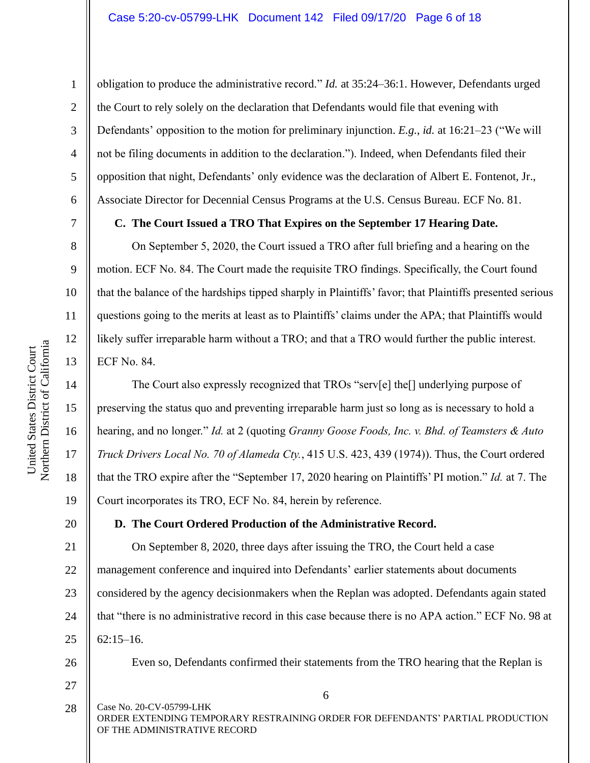obligation to produce the administrative record." *Id.* at 35:24–36:1. However, Defendants urged the Court to rely solely on the declaration that Defendants would file that evening with Defendants' opposition to the motion for preliminary injunction. *E.g.*, *id.* at 16:21–23 ("We will not be filing documents in addition to the declaration."). Indeed, when Defendants filed their opposition that night, Defendants' only evidence was the declaration of Albert E. Fontenot, Jr., Associate Director for Decennial Census Programs at the U.S. Census Bureau. ECF No. 81.

### **C. The Court Issued a TRO That Expires on the September 17 Hearing Date.**

On September 5, 2020, the Court issued a TRO after full briefing and a hearing on the motion. ECF No. 84. The Court made the requisite TRO findings. Specifically, the Court found that the balance of the hardships tipped sharply in Plaintiffs' favor; that Plaintiffs presented serious questions going to the merits at least as to Plaintiffs' claims under the APA; that Plaintiffs would likely suffer irreparable harm without a TRO; and that a TRO would further the public interest. ECF No. 84.

The Court also expressly recognized that TROs "serv[e] the[] underlying purpose of preserving the status quo and preventing irreparable harm just so long as is necessary to hold a hearing, and no longer." *Id.* at 2 (quoting *Granny Goose Foods, Inc. v. Bhd. of Teamsters & Auto Truck Drivers Local No. 70 of Alameda Cty.*, 415 U.S. 423, 439 (1974)). Thus, the Court ordered that the TRO expire after the "September 17, 2020 hearing on Plaintiffs' PI motion." *Id.* at 7. The Court incorporates its TRO, ECF No. 84, herein by reference.

## **D. The Court Ordered Production of the Administrative Record.**

21 22 23 24 25 On September 8, 2020, three days after issuing the TRO, the Court held a case management conference and inquired into Defendants' earlier statements about documents considered by the agency decisionmakers when the Replan was adopted. Defendants again stated that "there is no administrative record in this case because there is no APA action." ECF No. 98 at 62:15–16.

Even so, Defendants confirmed their statements from the TRO hearing that the Replan is

6

Case No. 20-CV-05799-LHK ORDER EXTENDING TEMPORARY RESTRAINING ORDER FOR DEFENDANTS' PARTIAL PRODUCTION OF THE ADMINISTRATIVE RECORD 28

1

2

3

4

5

6

7

8

9

10

11

12

13

14

15

16

17

18

19

20

26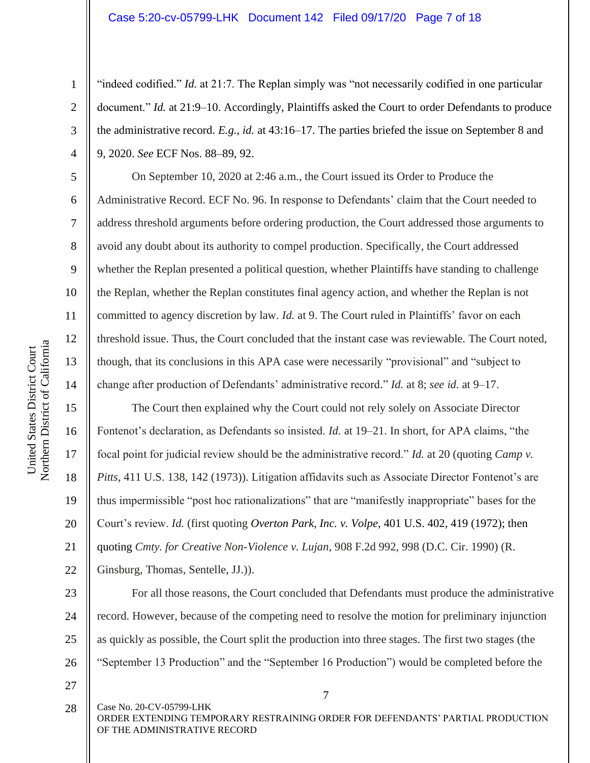"indeed codified." *Id.* at 21:7. The Replan simply was "not necessarily codified in one particular document." *Id.* at 21:9–10. Accordingly, Plaintiffs asked the Court to order Defendants to produce the administrative record. *E.g.*, *id.* at 43:16–17. The parties briefed the issue on September 8 and 9, 2020. *See* ECF Nos. 88–89, 92.

On September 10, 2020 at 2:46 a.m., the Court issued its Order to Produce the Administrative Record. ECF No. 96. In response to Defendants' claim that the Court needed to address threshold arguments before ordering production, the Court addressed those arguments to avoid any doubt about its authority to compel production. Specifically, the Court addressed whether the Replan presented a political question, whether Plaintiffs have standing to challenge the Replan, whether the Replan constitutes final agency action, and whether the Replan is not committed to agency discretion by law. *Id.* at 9. The Court ruled in Plaintiffs' favor on each threshold issue. Thus, the Court concluded that the instant case was reviewable. The Court noted, though, that its conclusions in this APA case were necessarily "provisional" and "subject to change after production of Defendants' administrative record." *Id.* at 8; *see id.* at 9–17.

The Court then explained why the Court could not rely solely on Associate Director Fontenot's declaration, as Defendants so insisted. *Id.* at 19–21. In short, for APA claims, "the focal point for judicial review should be the administrative record." *Id.* at 20 (quoting *Camp v. Pitts*, 411 U.S. 138, 142 (1973)). Litigation affidavits such as Associate Director Fontenot's are thus impermissible "post hoc rationalizations" that are "manifestly inappropriate" bases for the Court's review. *Id.* (first quoting *Overton Park, Inc. v. Volpe*, 401 U.S. 402, 419 (1972); then quoting *Cmty. for Creative Non-Violence v. Lujan*, 908 F.2d 992, 998 (D.C. Cir. 1990) (R.

Ginsburg, Thomas, Sentelle, JJ.)).

For all those reasons, the Court concluded that Defendants must produce the administrative record. However, because of the competing need to resolve the motion for preliminary injunction as quickly as possible, the Court split the production into three stages. The first two stages (the "September 13 Production" and the "September 16 Production") would be completed before the

- 27
- Case No. 20-CV-05799-LHK 28

ORDER EXTENDING TEMPORARY RESTRAINING ORDER FOR DEFENDANTS' PARTIAL PRODUCTION OF THE ADMINISTRATIVE RECORD

1

2

3

4

5

6

7

8

9

10

11

12

13

14

15

16

17

18

19

20

21

22

23

24

25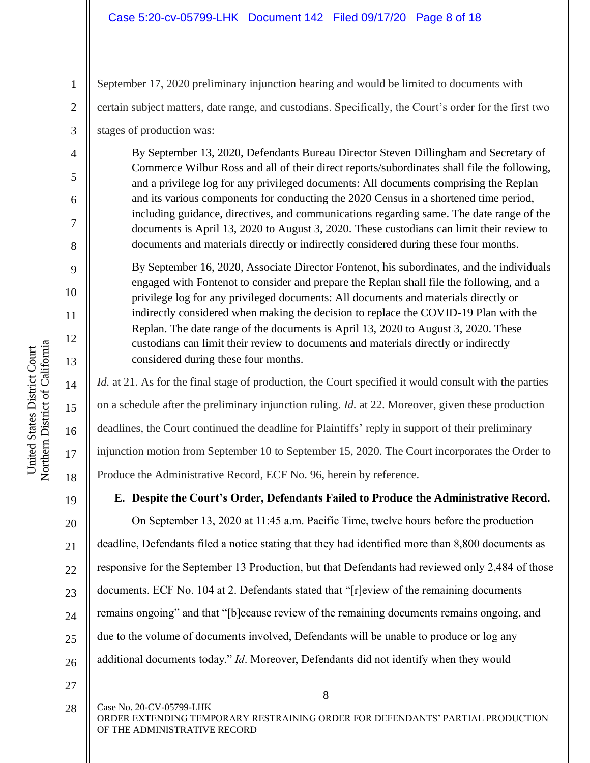### Case 5:20-cv-05799-LHK Document 142 Filed 09/17/20 Page 8 of 18

September 17, 2020 preliminary injunction hearing and would be limited to documents with certain subject matters, date range, and custodians. Specifically, the Court's order for the first two stages of production was:

By September 13, 2020, Defendants Bureau Director Steven Dillingham and Secretary of Commerce Wilbur Ross and all of their direct reports/subordinates shall file the following, and a privilege log for any privileged documents: All documents comprising the Replan and its various components for conducting the 2020 Census in a shortened time period, including guidance, directives, and communications regarding same. The date range of the documents is April 13, 2020 to August 3, 2020. These custodians can limit their review to documents and materials directly or indirectly considered during these four months.

By September 16, 2020, Associate Director Fontenot, his subordinates, and the individuals engaged with Fontenot to consider and prepare the Replan shall file the following, and a privilege log for any privileged documents: All documents and materials directly or indirectly considered when making the decision to replace the COVID-19 Plan with the Replan. The date range of the documents is April 13, 2020 to August 3, 2020. These custodians can limit their review to documents and materials directly or indirectly considered during these four months.

*Id.* at 21. As for the final stage of production, the Court specified it would consult with the parties on a schedule after the preliminary injunction ruling. *Id.* at 22. Moreover, given these production deadlines, the Court continued the deadline for Plaintiffs' reply in support of their preliminary injunction motion from September 10 to September 15, 2020. The Court incorporates the Order to Produce the Administrative Record, ECF No. 96, herein by reference.

19

1

2

3

4

5

6

7

8

9

10

11

12

13

14

15

16

17

18

20

21

22

23

24

25

# **E. Despite the Court's Order, Defendants Failed to Produce the Administrative Record.**

26 On September 13, 2020 at 11:45 a.m. Pacific Time, twelve hours before the production deadline, Defendants filed a notice stating that they had identified more than 8,800 documents as responsive for the September 13 Production, but that Defendants had reviewed only 2,484 of those documents. ECF No. 104 at 2. Defendants stated that "[r]eview of the remaining documents remains ongoing" and that "[b]ecause review of the remaining documents remains ongoing, and due to the volume of documents involved, Defendants will be unable to produce or log any additional documents today." *Id*. Moreover, Defendants did not identify when they would

27

28

Case No. 20-CV-05799-LHK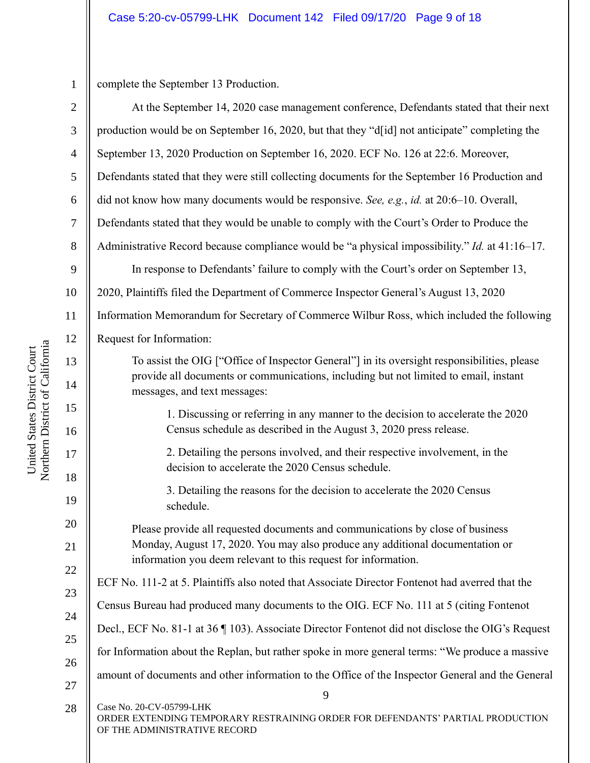1

complete the September 13 Production.

| $\overline{2}$ | At the September 14, 2020 case management conference, Defendants stated that their next                                         |  |  |
|----------------|---------------------------------------------------------------------------------------------------------------------------------|--|--|
| 3              | production would be on September 16, 2020, but that they "d[id] not anticipate" completing the                                  |  |  |
| $\overline{4}$ | September 13, 2020 Production on September 16, 2020. ECF No. 126 at 22:6. Moreover,                                             |  |  |
| 5              | Defendants stated that they were still collecting documents for the September 16 Production and                                 |  |  |
| 6              | did not know how many documents would be responsive. See, e.g., id. at 20:6-10. Overall,                                        |  |  |
| $\tau$         | Defendants stated that they would be unable to comply with the Court's Order to Produce the                                     |  |  |
| 8              | Administrative Record because compliance would be "a physical impossibility." Id. at 41:16-17.                                  |  |  |
| 9              | In response to Defendants' failure to comply with the Court's order on September 13,                                            |  |  |
| 10             | 2020, Plaintiffs filed the Department of Commerce Inspector General's August 13, 2020                                           |  |  |
| 11             | Information Memorandum for Secretary of Commerce Wilbur Ross, which included the following                                      |  |  |
| 12             | Request for Information:                                                                                                        |  |  |
| 13             | To assist the OIG ["Office of Inspector General"] in its oversight responsibilities, please                                     |  |  |
| 14             | provide all documents or communications, including but not limited to email, instant<br>messages, and text messages:            |  |  |
| 15             | 1. Discussing or referring in any manner to the decision to accelerate the 2020                                                 |  |  |
| 16             | Census schedule as described in the August 3, 2020 press release.                                                               |  |  |
| 17<br>18       | 2. Detailing the persons involved, and their respective involvement, in the<br>decision to accelerate the 2020 Census schedule. |  |  |
| 19             | 3. Detailing the reasons for the decision to accelerate the 2020 Census<br>schedule.                                            |  |  |
| 20             | Please provide all requested documents and communications by close of business                                                  |  |  |
| 21             | Monday, August 17, 2020. You may also produce any additional documentation or                                                   |  |  |
| 22             | information you deem relevant to this request for information.                                                                  |  |  |
| 23             | ECF No. 111-2 at 5. Plaintiffs also noted that Associate Director Fontenot had averred that the                                 |  |  |
| 24             | Census Bureau had produced many documents to the OIG. ECF No. 111 at 5 (citing Fontenot                                         |  |  |
| 25             | Decl., ECF No. 81-1 at 36 ¶ 103). Associate Director Fontenot did not disclose the OIG's Request                                |  |  |
| 26             | for Information about the Replan, but rather spoke in more general terms: "We produce a massive                                 |  |  |
| 27             | amount of documents and other information to the Office of the Inspector General and the General                                |  |  |
| 28             | 9<br>Case No. 20-CV-05799-LHK                                                                                                   |  |  |
|                | ORDER EXTENDING TEMPORARY RESTRAINING ORDER FOR DEFENDANTS' PARTIAL PRODUCTION<br>OF THE ADMINISTRATIVE RECORD                  |  |  |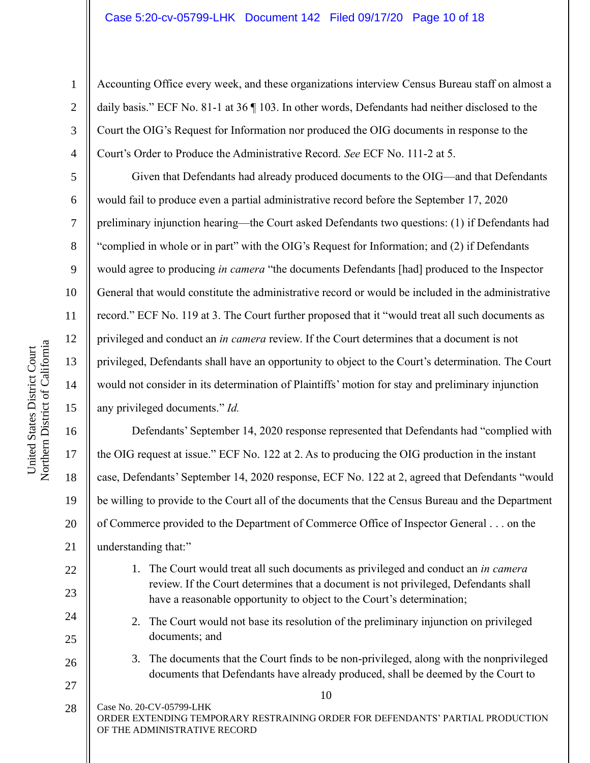Accounting Office every week, and these organizations interview Census Bureau staff on almost a daily basis." ECF No. 81-1 at 36 ¶ 103. In other words, Defendants had neither disclosed to the Court the OIG's Request for Information nor produced the OIG documents in response to the Court's Order to Produce the Administrative Record. *See* ECF No. 111-2 at 5.

Given that Defendants had already produced documents to the OIG—and that Defendants would fail to produce even a partial administrative record before the September 17, 2020 preliminary injunction hearing—the Court asked Defendants two questions: (1) if Defendants had "complied in whole or in part" with the OIG's Request for Information; and (2) if Defendants would agree to producing *in camera* "the documents Defendants [had] produced to the Inspector General that would constitute the administrative record or would be included in the administrative record." ECF No. 119 at 3. The Court further proposed that it "would treat all such documents as privileged and conduct an *in camera* review. If the Court determines that a document is not privileged, Defendants shall have an opportunity to object to the Court's determination. The Court would not consider in its determination of Plaintiffs' motion for stay and preliminary injunction any privileged documents." *Id.*

16 20 Defendants' September 14, 2020 response represented that Defendants had "complied with the OIG request at issue." ECF No. 122 at 2. As to producing the OIG production in the instant case, Defendants' September 14, 2020 response, ECF No. 122 at 2, agreed that Defendants "would be willing to provide to the Court all of the documents that the Census Bureau and the Department of Commerce provided to the Department of Commerce Office of Inspector General . . . on the understanding that:"

- 1. The Court would treat all such documents as privileged and conduct an *in camera* review. If the Court determines that a document is not privileged, Defendants shall have a reasonable opportunity to object to the Court's determination;
	- 2. The Court would not base its resolution of the preliminary injunction on privileged documents; and
- 3. The documents that the Court finds to be non-privileged, along with the nonprivileged documents that Defendants have already produced, shall be deemed by the Court to

10

Case No. 20-CV-05799-LHK ORDER EXTENDING TEMPORARY RESTRAINING ORDER FOR DEFENDANTS' PARTIAL PRODUCTION OF THE ADMINISTRATIVE RECORD 28

1

2

3

4

5

6

7

8

9

10

11

12

13

14

15

17

18

19

21

22

23

24

 $25$ 

26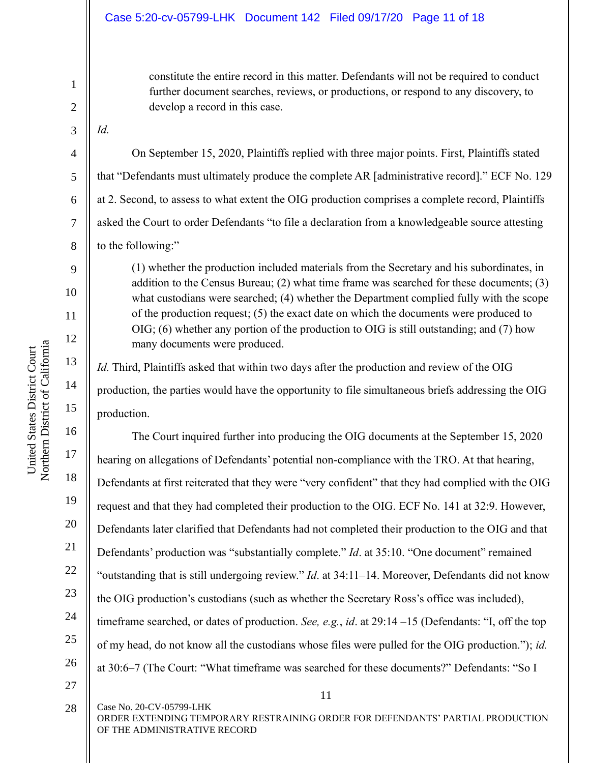#### Case 5:20-cv-05799-LHK Document 142 Filed 09/17/20 Page 11 of 18

constitute the entire record in this matter. Defendants will not be required to conduct further document searches, reviews, or productions, or respond to any discovery, to develop a record in this case.

*Id.* 

1

2

3

4

5

6

7

8

9

10

11

12

13

14

15

16

17

18

19

20

21

22

23

24

25

26

On September 15, 2020, Plaintiffs replied with three major points. First, Plaintiffs stated that "Defendants must ultimately produce the complete AR [administrative record]." ECF No. 129 at 2. Second, to assess to what extent the OIG production comprises a complete record, Plaintiffs asked the Court to order Defendants "to file a declaration from a knowledgeable source attesting to the following:"

(1) whether the production included materials from the Secretary and his subordinates, in addition to the Census Bureau; (2) what time frame was searched for these documents; (3) what custodians were searched; (4) whether the Department complied fully with the scope of the production request; (5) the exact date on which the documents were produced to OIG; (6) whether any portion of the production to OIG is still outstanding; and (7) how many documents were produced.

*Id.* Third, Plaintiffs asked that within two days after the production and review of the OIG production, the parties would have the opportunity to file simultaneous briefs addressing the OIG production.

The Court inquired further into producing the OIG documents at the September 15, 2020 hearing on allegations of Defendants' potential non-compliance with the TRO. At that hearing, Defendants at first reiterated that they were "very confident" that they had complied with the OIG request and that they had completed their production to the OIG. ECF No. 141 at 32:9. However, Defendants later clarified that Defendants had not completed their production to the OIG and that Defendants' production was "substantially complete." *Id.* at 35:10. "One document" remained "outstanding that is still undergoing review." *Id*. at 34:11–14. Moreover, Defendants did not know the OIG production's custodians (such as whether the Secretary Ross's office was included), timeframe searched, or dates of production. *See, e.g.*, *id*. at 29:14 –15 (Defendants: "I, off the top of my head, do not know all the custodians whose files were pulled for the OIG production."); *id.* at 30:6–7 (The Court: "What timeframe was searched for these documents?" Defendants: "So I

27 28

Case No. 20-CV-05799-LHK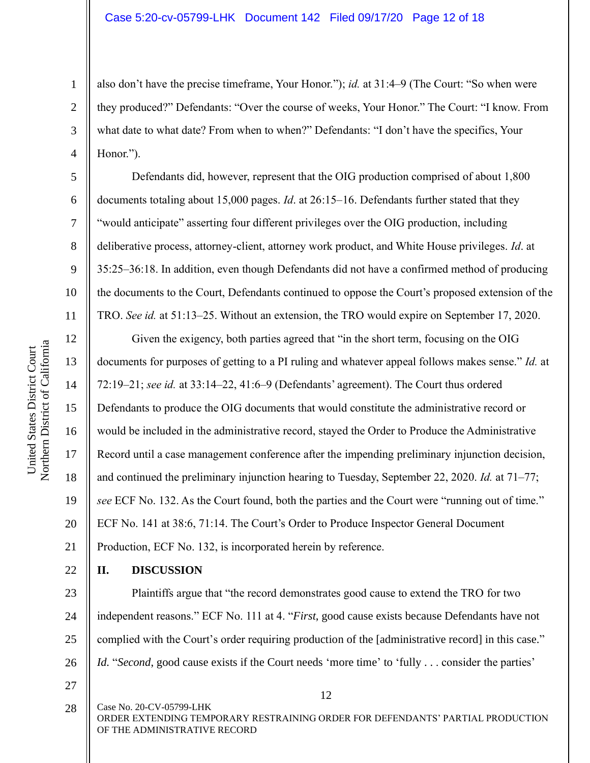also don't have the precise timeframe, Your Honor."); *id.* at 31:4–9 (The Court: "So when were they produced?" Defendants: "Over the course of weeks, Your Honor." The Court: "I know. From what date to what date? From when to when?" Defendants: "I don't have the specifics, Your Honor.").

Defendants did, however, represent that the OIG production comprised of about 1,800 documents totaling about 15,000 pages. *Id*. at 26:15–16. Defendants further stated that they "would anticipate" asserting four different privileges over the OIG production, including deliberative process, attorney-client, attorney work product, and White House privileges. *Id*. at 35:25–36:18. In addition, even though Defendants did not have a confirmed method of producing the documents to the Court, Defendants continued to oppose the Court's proposed extension of the TRO. *See id.* at 51:13–25. Without an extension, the TRO would expire on September 17, 2020.

12 13 14 15 16 17 18 19 20 21 Given the exigency, both parties agreed that "in the short term, focusing on the OIG documents for purposes of getting to a PI ruling and whatever appeal follows makes sense." *Id.* at 72:19–21; *see id.* at 33:14–22, 41:6–9 (Defendants' agreement). The Court thus ordered Defendants to produce the OIG documents that would constitute the administrative record or would be included in the administrative record, stayed the Order to Produce the Administrative Record until a case management conference after the impending preliminary injunction decision, and continued the preliminary injunction hearing to Tuesday, September 22, 2020. *Id.* at 71–77; *see* ECF No. 132. As the Court found, both the parties and the Court were "running out of time." ECF No. 141 at 38:6, 71:14. The Court's Order to Produce Inspector General Document Production, ECF No. 132, is incorporated herein by reference.

22 **II. DISCUSSION**

23 24 25 26 Plaintiffs argue that "the record demonstrates good cause to extend the TRO for two independent reasons." ECF No. 111 at 4. "*First*, good cause exists because Defendants have not complied with the Court's order requiring production of the [administrative record] in this case." *Id.* "*Second*, good cause exists if the Court needs 'more time' to 'fully . . . consider the parties'

27

12

Case No. 20-CV-05799-LHK ORDER EXTENDING TEMPORARY RESTRAINING ORDER FOR DEFENDANTS' PARTIAL PRODUCTION OF THE ADMINISTRATIVE RECORD 28

1

2

3

4

5

6

7

8

9

10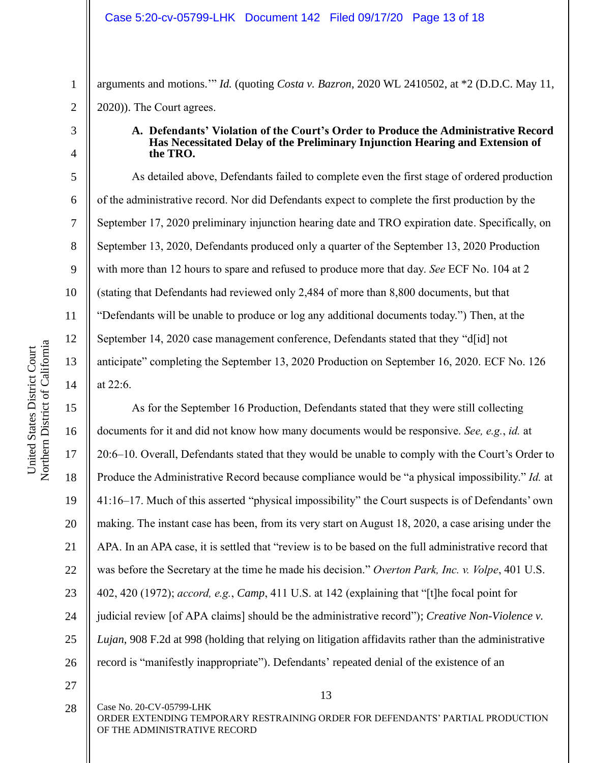arguments and motions.'" *Id.* (quoting *Costa v. Bazron*, 2020 WL 2410502, at \*2 (D.D.C. May 11, 2020)). The Court agrees.

4

5

6

7

8

9

10

11

12

13

14

1

2

#### **A. Defendants' Violation of the Court's Order to Produce the Administrative Record Has Necessitated Delay of the Preliminary Injunction Hearing and Extension of the TRO.**

As detailed above, Defendants failed to complete even the first stage of ordered production of the administrative record. Nor did Defendants expect to complete the first production by the September 17, 2020 preliminary injunction hearing date and TRO expiration date. Specifically, on September 13, 2020, Defendants produced only a quarter of the September 13, 2020 Production with more than 12 hours to spare and refused to produce more that day. *See* ECF No. 104 at 2 (stating that Defendants had reviewed only 2,484 of more than 8,800 documents, but that "Defendants will be unable to produce or log any additional documents today.") Then, at the September 14, 2020 case management conference, Defendants stated that they "d[id] not anticipate" completing the September 13, 2020 Production on September 16, 2020. ECF No. 126 at 22:6.

15 16 17 18 19 20 21 22 23 24 25 26 As for the September 16 Production, Defendants stated that they were still collecting documents for it and did not know how many documents would be responsive. *See, e.g.*, *id.* at 20:6–10. Overall, Defendants stated that they would be unable to comply with the Court's Order to Produce the Administrative Record because compliance would be "a physical impossibility." *Id.* at 41:16–17. Much of this asserted "physical impossibility" the Court suspects is of Defendants' own making. The instant case has been, from its very start on August 18, 2020, a case arising under the APA. In an APA case, it is settled that "review is to be based on the full administrative record that was before the Secretary at the time he made his decision." *Overton Park, Inc. v. Volpe*, 401 U.S. 402, 420 (1972); *accord, e.g.*, *Camp*, 411 U.S. at 142 (explaining that "[t]he focal point for judicial review [of APA claims] should be the administrative record"); *Creative Non-Violence v. Lujan*, 908 F.2d at 998 (holding that relying on litigation affidavits rather than the administrative record is "manifestly inappropriate"). Defendants' repeated denial of the existence of an

27

28

Case No. 20-CV-05799-LHK

<sup>3</sup>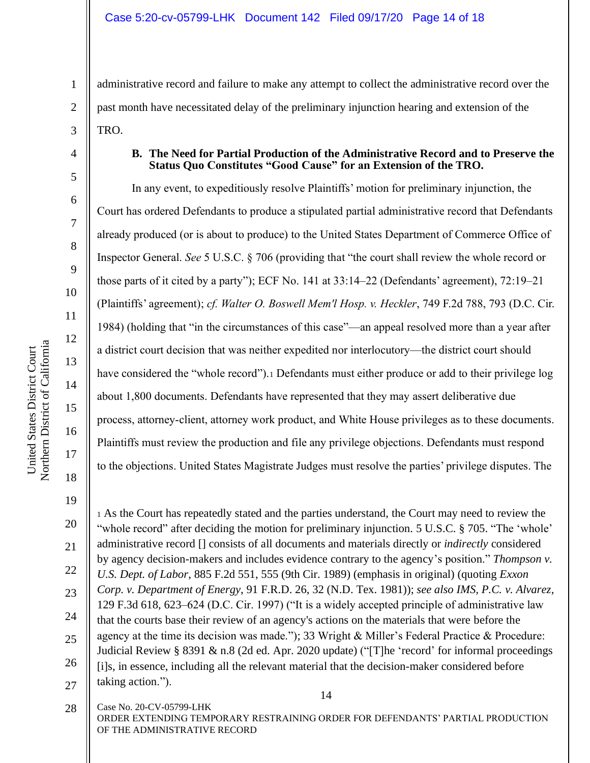administrative record and failure to make any attempt to collect the administrative record over the past month have necessitated delay of the preliminary injunction hearing and extension of the TRO.

### **B. The Need for Partial Production of the Administrative Record and to Preserve the Status Quo Constitutes "Good Cause" for an Extension of the TRO.**

In any event, to expeditiously resolve Plaintiffs' motion for preliminary injunction, the Court has ordered Defendants to produce a stipulated partial administrative record that Defendants already produced (or is about to produce) to the United States Department of Commerce Office of Inspector General. *See* 5 U.S.C. § 706 (providing that "the court shall review the whole record or those parts of it cited by a party"); ECF No. 141 at 33:14–22 (Defendants' agreement), 72:19–21 (Plaintiffs' agreement); *cf. Walter O. Boswell Mem'l Hosp. v. Heckler*, 749 F.2d 788, 793 (D.C. Cir. 1984) (holding that "in the circumstances of this case"—an appeal resolved more than a year after a district court decision that was neither expedited nor interlocutory—the district court should have considered the "whole record"). Defendants must either produce or add to their privilege log about 1,800 documents. Defendants have represented that they may assert deliberative due process, attorney-client, attorney work product, and White House privileges as to these documents. Plaintiffs must review the production and file any privilege objections. Defendants must respond to the objections. United States Magistrate Judges must resolve the parties' privilege disputes. The

1

2

3

4

5

6

7

8

9

10

11

12

13

14

15

16

14 21 22 23 24 25 26 27 <sup>1</sup> As the Court has repeatedly stated and the parties understand, the Court may need to review the "whole record" after deciding the motion for preliminary injunction. 5 U.S.C. § 705. "The 'whole' administrative record [] consists of all documents and materials directly or *indirectly* considered by agency decision-makers and includes evidence contrary to the agency's position." *Thompson v. U.S. Dept. of Labor*, 885 F.2d 551, 555 (9th Cir. 1989) (emphasis in original) (quoting *Exxon Corp. v. Department of Energy*, 91 F.R.D. 26, 32 (N.D. Tex. 1981)); *see also IMS, P.C. v. Alvarez*, 129 F.3d 618, 623–624 (D.C. Cir. 1997) ("It is a widely accepted principle of administrative law that the courts base their review of an agency's actions on the materials that were before the agency at the time its decision was made."); 33 Wright & Miller's Federal Practice & Procedure: Judicial Review § 8391 & n.8 (2d ed. Apr. 2020 update) ("[T]he 'record' for informal proceedings [i]s, in essence, including all the relevant material that the decision-maker considered before taking action.").

Case No. 20-CV-05799-LHK 28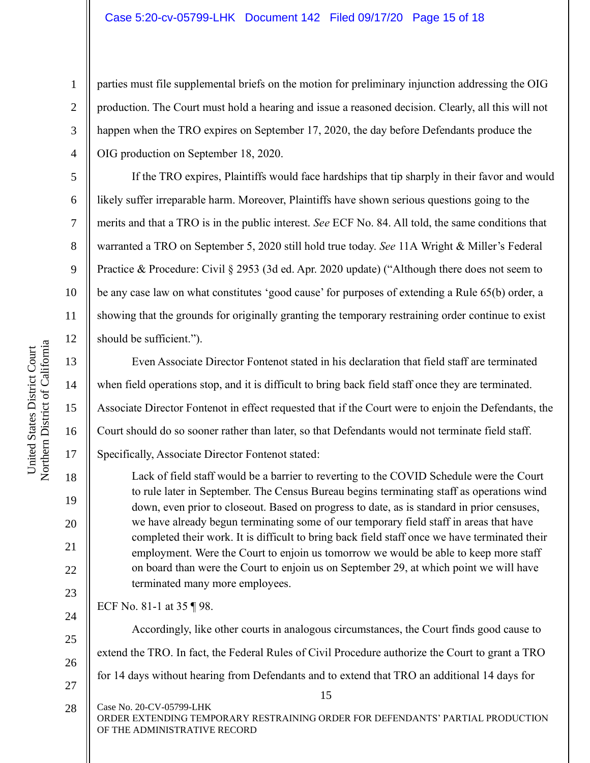parties must file supplemental briefs on the motion for preliminary injunction addressing the OIG production. The Court must hold a hearing and issue a reasoned decision. Clearly, all this will not happen when the TRO expires on September 17, 2020, the day before Defendants produce the OIG production on September 18, 2020.

If the TRO expires, Plaintiffs would face hardships that tip sharply in their favor and would likely suffer irreparable harm. Moreover, Plaintiffs have shown serious questions going to the merits and that a TRO is in the public interest. *See* ECF No. 84. All told, the same conditions that warranted a TRO on September 5, 2020 still hold true today. *See* 11A Wright & Miller's Federal Practice & Procedure: Civil § 2953 (3d ed. Apr. 2020 update) ("Although there does not seem to be any case law on what constitutes 'good cause' for purposes of extending a Rule 65(b) order, a showing that the grounds for originally granting the temporary restraining order continue to exist should be sufficient.").

Even Associate Director Fontenot stated in his declaration that field staff are terminated when field operations stop, and it is difficult to bring back field staff once they are terminated. Associate Director Fontenot in effect requested that if the Court were to enjoin the Defendants, the Court should do so sooner rather than later, so that Defendants would not terminate field staff. Specifically, Associate Director Fontenot stated:

Lack of field staff would be a barrier to reverting to the COVID Schedule were the Court to rule later in September. The Census Bureau begins terminating staff as operations wind down, even prior to closeout. Based on progress to date, as is standard in prior censuses, we have already begun terminating some of our temporary field staff in areas that have completed their work. It is difficult to bring back field staff once we have terminated their employment. Were the Court to enjoin us tomorrow we would be able to keep more staff on board than were the Court to enjoin us on September 29, at which point we will have terminated many more employees.

ECF No. 81-1 at 35 ¶ 98.

Case No. 20-CV-05799-LHK

Accordingly, like other courts in analogous circumstances, the Court finds good cause to extend the TRO. In fact, the Federal Rules of Civil Procedure authorize the Court to grant a TRO for 14 days without hearing from Defendants and to extend that TRO an additional 14 days for

United States District Court Northern District of California

Northern District of California United States District Court

21

22

23

24

25

28

1

2

3

4

5

6

7

8

9

10

11

12

13

26 27

ORDER EXTENDING TEMPORARY RESTRAINING ORDER FOR DEFENDANTS' PARTIAL PRODUCTION OF THE ADMINISTRATIVE RECORD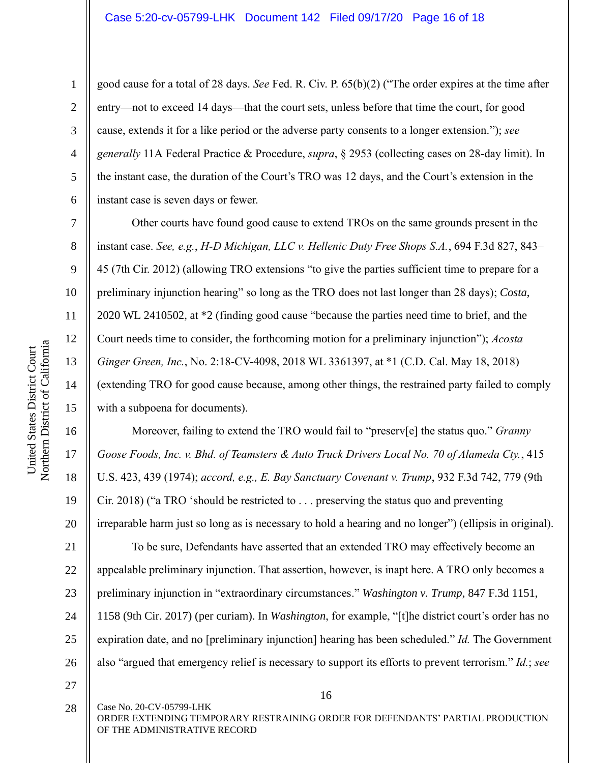good cause for a total of 28 days. *See* Fed. R. Civ. P. 65(b)(2) ("The order expires at the time after entry—not to exceed 14 days—that the court sets, unless before that time the court, for good cause, extends it for a like period or the adverse party consents to a longer extension."); *see generally* 11A Federal Practice & Procedure, *supra*, § 2953 (collecting cases on 28-day limit). In the instant case, the duration of the Court's TRO was 12 days, and the Court's extension in the instant case is seven days or fewer.

Other courts have found good cause to extend TROs on the same grounds present in the instant case. *See, e.g.*, *H-D Michigan, LLC v. Hellenic Duty Free Shops S.A.*, 694 F.3d 827, 843– 45 (7th Cir. 2012) (allowing TRO extensions "to give the parties sufficient time to prepare for a preliminary injunction hearing" so long as the TRO does not last longer than 28 days); *Costa*, 2020 WL 2410502, at \*2 (finding good cause "because the parties need time to brief, and the Court needs time to consider, the forthcoming motion for a preliminary injunction"); *Acosta Ginger Green, Inc.*, No. 2:18-CV-4098, 2018 WL 3361397, at \*1 (C.D. Cal. May 18, 2018) (extending TRO for good cause because, among other things, the restrained party failed to comply with a subpoena for documents).

Moreover, failing to extend the TRO would fail to "preserv[e] the status quo." *Granny Goose Foods, Inc. v. Bhd. of Teamsters & Auto Truck Drivers Local No. 70 of Alameda Cty.*, 415 U.S. 423, 439 (1974); *accord, e.g., E. Bay Sanctuary Covenant v. Trump*, 932 F.3d 742, 779 (9th Cir. 2018) ("a TRO 'should be restricted to . . . preserving the status quo and preventing irreparable harm just so long as is necessary to hold a hearing and no longer") (ellipsis in original).

21 22 23 24 25 26 To be sure, Defendants have asserted that an extended TRO may effectively become an appealable preliminary injunction. That assertion, however, is inapt here. A TRO only becomes a preliminary injunction in "extraordinary circumstances." *Washington v. Trump*, 847 F.3d 1151, 1158 (9th Cir. 2017) (per curiam). In *Washington*, for example, "[t]he district court's order has no expiration date, and no [preliminary injunction] hearing has been scheduled." *Id.* The Government also "argued that emergency relief is necessary to support its efforts to prevent terrorism." *Id.*; *see* 

27

28

Case No. 20-CV-05799-LHK

16

ORDER EXTENDING TEMPORARY RESTRAINING ORDER FOR DEFENDANTS' PARTIAL PRODUCTION OF THE ADMINISTRATIVE RECORD

1

2

3

4

5

6

7

8

9

10

11

12

13

14

15

16

17

18

19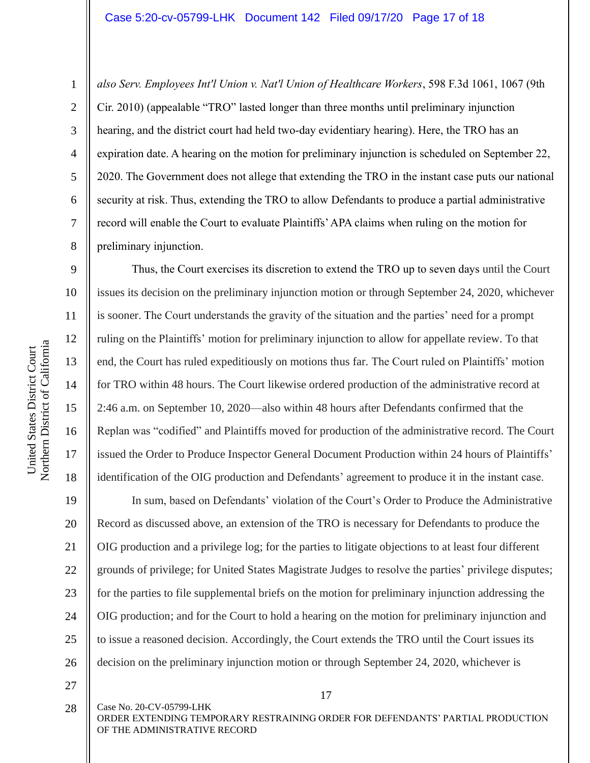*also Serv. Employees Int'l Union v. Nat'l Union of Healthcare Workers*, 598 F.3d 1061, 1067 (9th Cir. 2010) (appealable "TRO" lasted longer than three months until preliminary injunction hearing, and the district court had held two-day evidentiary hearing). Here, the TRO has an expiration date. A hearing on the motion for preliminary injunction is scheduled on September 22, 2020. The Government does not allege that extending the TRO in the instant case puts our national security at risk. Thus, extending the TRO to allow Defendants to produce a partial administrative record will enable the Court to evaluate Plaintiffs' APA claims when ruling on the motion for preliminary injunction.

Thus, the Court exercises its discretion to extend the TRO up to seven days until the Court issues its decision on the preliminary injunction motion or through September 24, 2020, whichever is sooner. The Court understands the gravity of the situation and the parties' need for a prompt ruling on the Plaintiffs' motion for preliminary injunction to allow for appellate review. To that end, the Court has ruled expeditiously on motions thus far. The Court ruled on Plaintiffs' motion for TRO within 48 hours. The Court likewise ordered production of the administrative record at 2:46 a.m. on September 10, 2020—also within 48 hours after Defendants confirmed that the Replan was "codified" and Plaintiffs moved for production of the administrative record. The Court issued the Order to Produce Inspector General Document Production within 24 hours of Plaintiffs' identification of the OIG production and Defendants' agreement to produce it in the instant case.

19 20 21 22 23 24 25 26 In sum, based on Defendants' violation of the Court's Order to Produce the Administrative Record as discussed above, an extension of the TRO is necessary for Defendants to produce the OIG production and a privilege log; for the parties to litigate objections to at least four different grounds of privilege; for United States Magistrate Judges to resolve the parties' privilege disputes; for the parties to file supplemental briefs on the motion for preliminary injunction addressing the OIG production; and for the Court to hold a hearing on the motion for preliminary injunction and to issue a reasoned decision. Accordingly, the Court extends the TRO until the Court issues its decision on the preliminary injunction motion or through September 24, 2020, whichever is

27

28

Case No. 20-CV-05799-LHK

17

ORDER EXTENDING TEMPORARY RESTRAINING ORDER FOR DEFENDANTS' PARTIAL PRODUCTION OF THE ADMINISTRATIVE RECORD

1

2

3

4

5

6

7

8

9

10

11

12

13

14

15

16

17